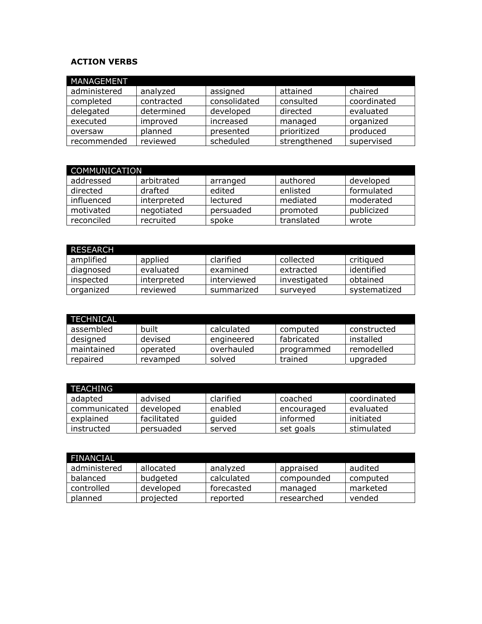## **ACTION VERBS**

| MANAGEMENT   |            |              |              |             |
|--------------|------------|--------------|--------------|-------------|
| administered | analyzed   | assigned     | attained     | chaired     |
| completed    | contracted | consolidated | consulted    | coordinated |
| delegated    | determined | developed    | directed     | evaluated   |
| executed     | improved   | increased    | managed      | organized   |
| oversaw      | planned    | presented    | prioritized  | produced    |
| recommended  | reviewed   | scheduled    | strengthened | supervised  |

| <b>COMMUNICATION</b> |             |           |            |            |  |  |
|----------------------|-------------|-----------|------------|------------|--|--|
| addressed            | arbitrated  | arranged  | authored   | developed  |  |  |
| directed             | drafted     | edited    | enlisted   | formulated |  |  |
| influenced           | interpreted | lectured  | mediated   | moderated  |  |  |
| motivated            | negotiated  | persuaded | promoted   | publicized |  |  |
| reconciled           | recruited   | spoke     | translated | wrote      |  |  |

| <b>RESEARCH</b> |             |             |              |              |
|-----------------|-------------|-------------|--------------|--------------|
| amplified       | applied     | clarified   | collected    | critiqued    |
| diagnosed       | evaluated   | examined    | extracted    | identified   |
| inspected       | interpreted | interviewed | investigated | obtained     |
| organized       | reviewed    | summarized  | surveyed     | systematized |

| <b>TECHNICAL</b> |          |            |            |             |
|------------------|----------|------------|------------|-------------|
| assembled        | built    | calculated | computed   | constructed |
| designed         | devised  | engineered | fabricated | installed   |
| maintained       | operated | overhauled | programmed | remodelled  |
| repaired         | revamped | solved     | trained    | upgraded    |

| <b>.TEACHING</b> |             |           |            |             |
|------------------|-------------|-----------|------------|-------------|
| adapted          | advised     | clarified | coached    | coordinated |
| communicated     | developed   | enabled   | encouraged | evaluated   |
| explained        | facilitated | quided    | informed   | initiated   |
| instructed       | persuaded   | served    | set goals  | stimulated  |

| FINANCIAL    |           |            |            |          |
|--------------|-----------|------------|------------|----------|
| administered | allocated | analyzed   | appraised  | audited  |
| balanced     | budgeted  | calculated | compounded | computed |
| controlled   | developed | forecasted | managed    | marketed |
| planned      | projected | reported   | researched | vended   |